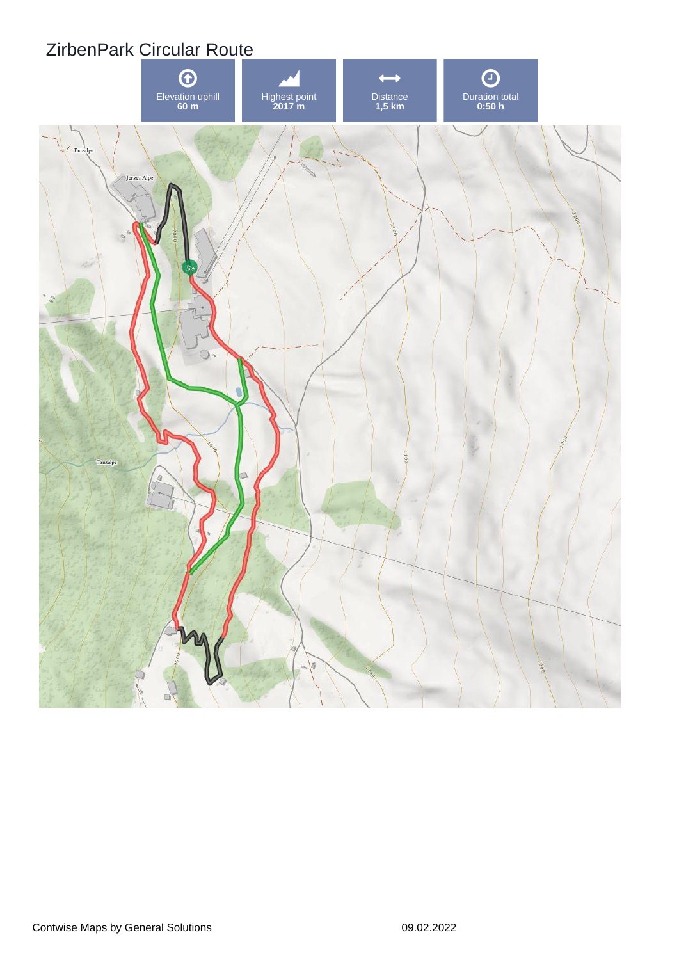## ZirbenPark Circular Route

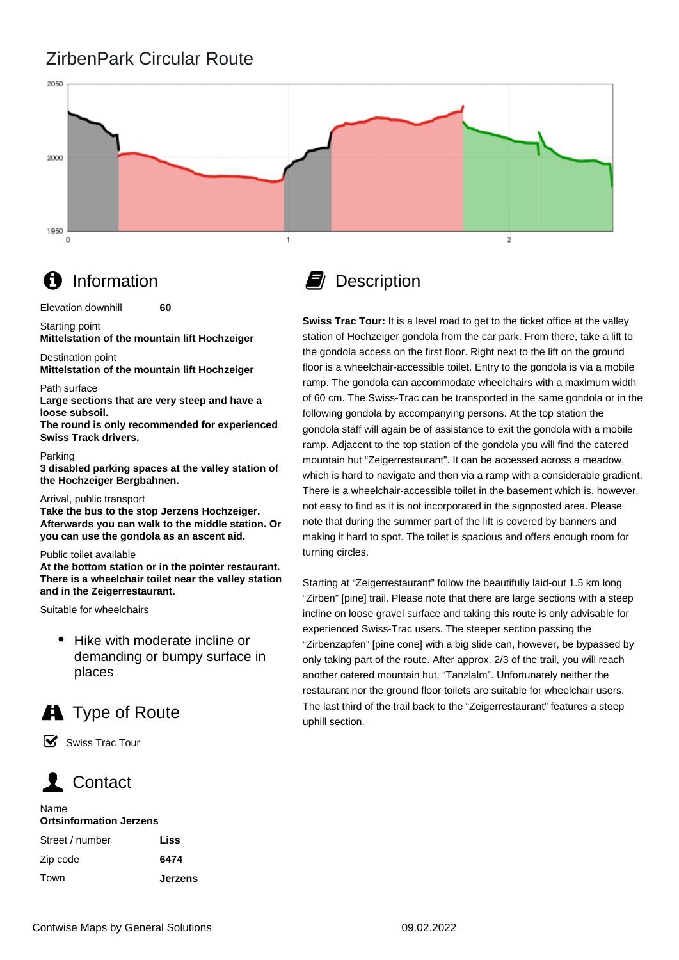### ZirbenPark Circular Route



## **f** Information

Elevation downhill **60**

Starting point

**Mittelstation of the mountain lift Hochzeiger**

#### Destination point

**Mittelstation of the mountain lift Hochzeiger**

#### Path surface

**Large sections that are very steep and have a loose subsoil.** 

**The round is only recommended for experienced Swiss Track drivers.**

#### Parking

**3 disabled parking spaces at the valley station of the Hochzeiger Bergbahnen.**

### Arrival, public transport

**Take the bus to the stop Jerzens Hochzeiger. Afterwards you can walk to the middle station. Or you can use the gondola as an ascent aid.**

### Public toilet available

**At the bottom station or in the pointer restaurant. There is a wheelchair toilet near the valley station and in the Zeigerrestaurant.**

Suitable for wheelchairs

• Hike with moderate incline or demanding or bumpy surface in places

# **A** Type of Route

☑ Swiss Trac Tour

# Contact

#### Name

### **Ortsinformation Jerzens**

| Street / number | Liss           |
|-----------------|----------------|
| Zip code        | 6474           |
| Town            | <b>Jerzens</b> |



**Swiss Trac Tour:** It is a level road to get to the ticket office at the valley station of Hochzeiger gondola from the car park. From there, take a lift to the gondola access on the first floor. Right next to the lift on the ground floor is a wheelchair-accessible toilet. Entry to the gondola is via a mobile ramp. The gondola can accommodate wheelchairs with a maximum width of 60 cm. The Swiss-Trac can be transported in the same gondola or in the following gondola by accompanying persons. At the top station the gondola staff will again be of assistance to exit the gondola with a mobile ramp. Adjacent to the top station of the gondola you will find the catered mountain hut "Zeigerrestaurant". It can be accessed across a meadow, which is hard to navigate and then via a ramp with a considerable gradient. There is a wheelchair-accessible toilet in the basement which is, however, not easy to find as it is not incorporated in the signposted area. Please note that during the summer part of the lift is covered by banners and making it hard to spot. The toilet is spacious and offers enough room for turning circles.

Starting at "Zeigerrestaurant" follow the beautifully laid-out 1.5 km long "Zirben" [pine] trail. Please note that there are large sections with a steep incline on loose gravel surface and taking this route is only advisable for experienced Swiss-Trac users. The steeper section passing the "Zirbenzapfen" [pine cone] with a big slide can, however, be bypassed by only taking part of the route. After approx. 2/3 of the trail, you will reach another catered mountain hut, "Tanzlalm". Unfortunately neither the restaurant nor the ground floor toilets are suitable for wheelchair users. The last third of the trail back to the "Zeigerrestaurant" features a steep uphill section.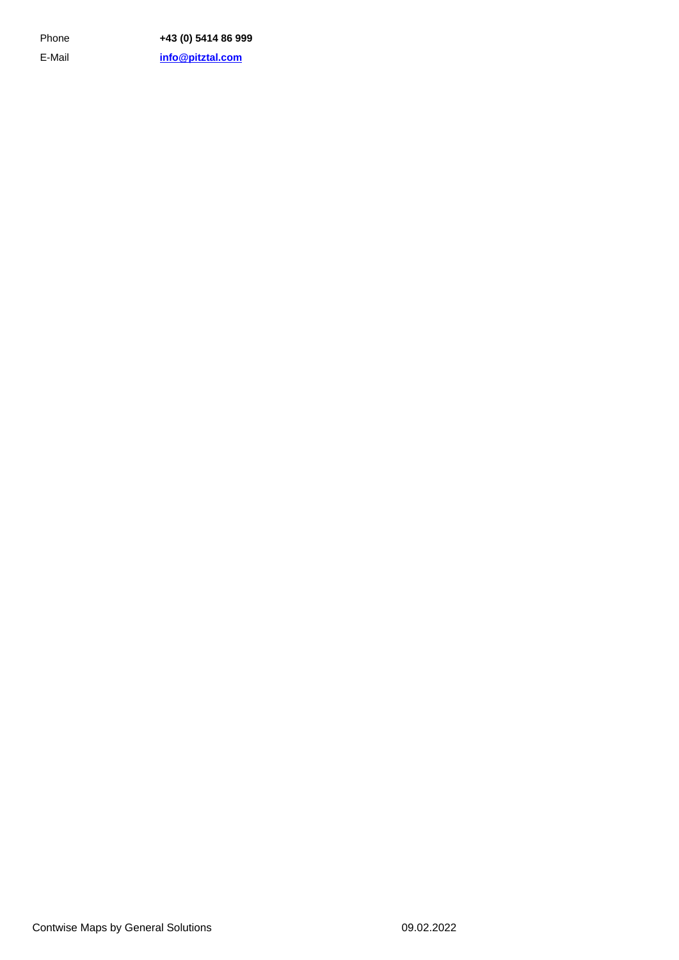E-Mail Phone **+43 (0) 5414 86 999 [info@pitztal.com](mailto:info@pitztal.com)**